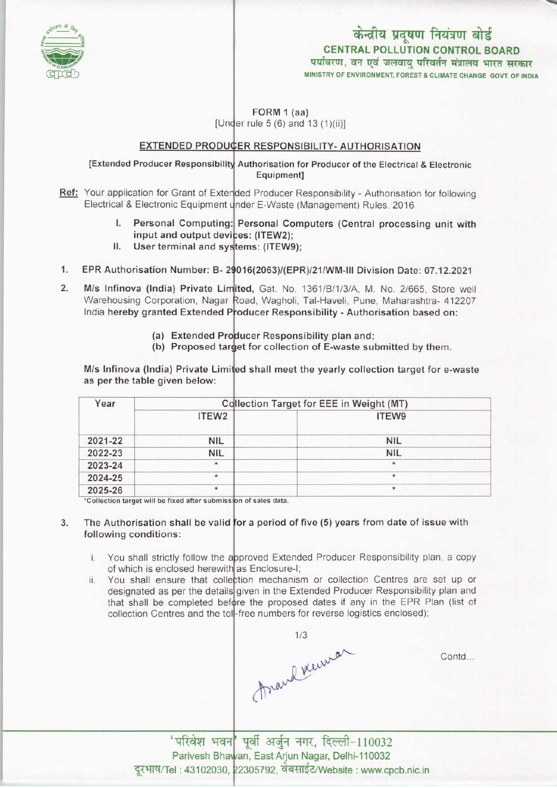

# केन्द्रीय प्रदूषण नियंत्रण बोर्ड CENTRAL POLLUTION CONTROL BOARD<br>पर्यावरण, वन एवं जलवाय परिवर्तन मंत्रालय भारत सरकार

MINISTRY OF ENVIRONMENT, FOREST & CLIMATE CHANGE GOVT. OF INDIA

FORM 1 (aa) [Under rule  $5(6)$  and  $13(1)(ii)$ ]

#### EXTENDED PRODUCER RESPONSIBILITY- AUTHORISATION

### [Extended Producer Responsibility Authorisation for Producer of the Electrical & Electronic Equipment]

- Ref: Your application for Grant of Extended Producer Responsibility Authorisation for following
	- Electrical & Electronic Equipment under E-Waste (Management) Rules, 2016<br>
	1. Personal Computing: Personal Computers (Central process Personal Computing: Personal Computers (Central processing unit with I. Personal Computing: Personal Computing:<br>input and output devices: (ITEW2);<br>II. User terminal and systems: (ITEW)
		- User terminal and systems: (ITEW9);
- EPR Authorisation Number: B- 29016(2063)/(EPR)/21/WM-III Division Date: 07.12.2021 1.
- M/s Infinova (India) Private Limited, Gat. No. 1361/B/1/3/A, M. No. 2/665, Store wel  $2.$ Warehousing Corporation, Nagar Road, Wagholi, Tal-Haveli, Pune, Maharashtra- 412207 India hereby granted Extended Producer Responsibility - Authorisation based on:
	- (a) Extended Producer Responsibility plan and;
	- (a) Extended Producer Responsibility plan and,<br>(b) Proposed target for collection of E-waste submitted by them.

M/s Infinova (India) Private Limited shall meet the yearly collection target for e-waste as perthe table given below:

| Year    | <b>Collection Target for EEE in Weight (MT)</b> |               |
|---------|-------------------------------------------------|---------------|
|         | ITEW <sub>2</sub>                               | ITEW9         |
| 2021-22 | <b>NIL</b>                                      | <b>NIL</b>    |
| 2022-23 | <b>NIL</b>                                      | <b>NIL</b>    |
| 2023-24 | $\star$                                         | $\frac{1}{2}$ |
| 2024-25 | $\star$                                         | $\star$       |
| 2025-26 | $\star$                                         | $\star$       |

ill be fixed after submis

## 3. The Authorisation shall be valid for a period of five (5) years from date of issue with following conditions:

- i. You shall strictly follow the approved Extended Producer Responsibility plan, a copy of which is enclosed herewith as Enclosure-I;
- ii. You shall ensure that collection mechanism or collection Centres are set up or designated as per the details given in the Extended Producer Responsibility plan and that shall be completed before the proposed dates if any in the EPR Plan (list of collection Centres and the toll-free numbers for reverse logistics enclosed)

Anaud Venus

Contd...

'परिवेश भवन|' पूर्वी अर्जुन नगर, दिल्ली-110032 Parivesh Bhawan, East Arjun Nagar, Delhi-110032 Parivesh Bhawan, East Arjun Nagar, Delhi-110032<br>'el : 43102030, 22305792, वेबसाईट/Website : www.cpcb.nic.in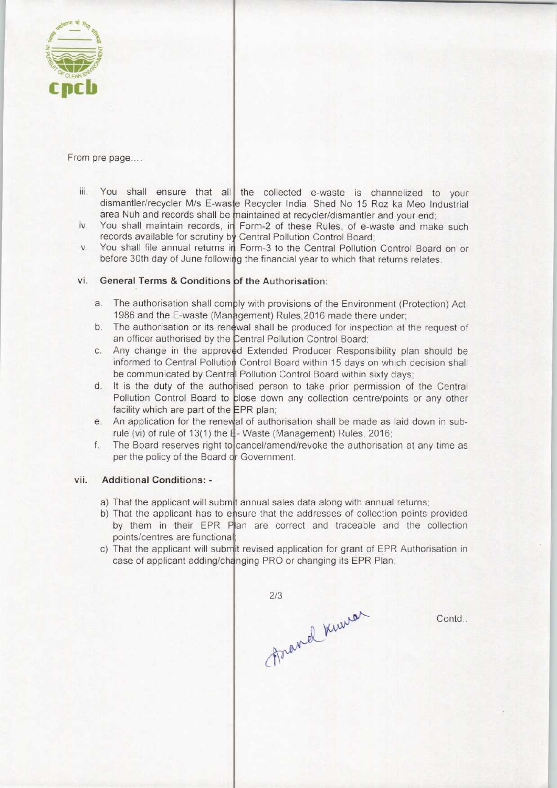

From pre page....

- iii. You shall ensure that all the collected e-waste is channelized to your dismantler/recycler M/s E-waste Recycler India, Shed No 15 Roz ka Meo Industria area Nuh and records shall be maintained at recycler/dismantler and your end
- area iven and records shall be inaintained at recyclemes manuer and your end;<br>iv. You shall maintain records, in Form-2 of these Rules, of e-waste and make such records available for scrutiny by Central Pollution Control Board
- records available for scruting by Central Pollution Control Board,<br>v. You shall file annual returns in Form-3 to the Central Pollution Control Board on or before 30th day of June following the financial year to which that returns relates.

# vi. General Terms & Conditions of the Authorisation:

- a. The authorisation shall comply with provisions of the Environment (Protection) Act 1986 and the E-waste (Management) Rules, 2016 made there under
- 1986 and the E-waste (Management) Rules, 2016 made there under;<br>b. The authorisation or its renewal shall be produced for inspection at the request of an officer authorised by the Central Pollution Control Board
- an officer authorised by the Central Pollution Control Board;<br>c. Any change in the approved Extended Producer Responsibility plan should be informed to Central Pollution Control Board within 15 days on which decision shall be communicated by Central Pollution Control Board within sixty days;
- be communicated by Central Pollution Control Board within sixty days;<br>d. It is the duty of the authorised person to take prior permission of the Central<br>Reflution Central Board to the clean of the Central Section Pollution Control Board to close down any collection centre/points or any other facility which are part of the EPR plan;
- facility which are part of the EPR plan;<br>e. An application for the renewal of authorisation shall be made as laid down in subrule (vi) of rule of 13(1) the E-Waste (Management) Rules, 2016
- cancel/amend/revoke the authorisation at any time as<br>f. The Board reserves right to cancel/amend/revoke the authorisation at any time as per the policy of the Board or Government.

#### vii. Additional Conditions: -

- a) That the applicant will submit annual sales data along with annual returns
- b) That the applicant has to ensure that the addresses of collection points provided by them in their EPR Plan are correct and traceable and the collection points/centres are functional
- case of applicant adding/changing PRO or changing its EPR Plan c) That the applicant will submit revised application for grant of EPR Authorisation in

 $2/3$ Frand Kurrer

Contd.